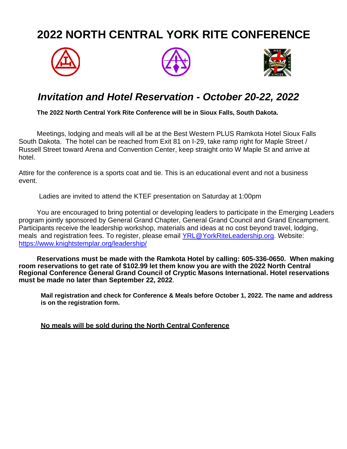## **2022 NORTH CENTRAL YORK RITE CONFERENCE**







## *Invitation and Hotel Reservation - October 20-22, 2022*

**The 2022 North Central York Rite Conference will be in Sioux Falls, South Dakota.** 

Meetings, lodging and meals will all be at the Best Western PLUS Ramkota Hotel Sioux Falls South Dakota. The hotel can be reached from Exit 81 on I-29, take ramp right for Maple Street / Russell Street toward Arena and Convention Center, keep straight onto W Maple St and arrive at hotel.

Attire for the conference is a sports coat and tie. This is an educational event and not a business event.

Ladies are invited to attend the KTEF presentation on Saturday at 1:00pm

You are encouraged to bring potential or developing leaders to participate in the Emerging Leaders program jointly sponsored by General Grand Chapter, General Grand Council and Grand Encampment. Participants receive the leadership workshop, materials and ideas at no cost beyond travel, lodging, meals and registration fees. To register, please email [YRL@YorkRiteLeadership.org.](mailto:YRL@YorkRiteLeadership.org) Website: <https://www.knightstemplar.org/leadership/>

**Reservations must be made with the Ramkota Hotel by calling: 605-336-0650. When making room reservations to get rate of \$102.99 let them know you are with the 2022 North Central Regional Conference General Grand Council of Cryptic Masons International. Hotel reservations must be made no later than September 22, 2022**.

**Mail registration and check for Conference & Meals before October 1, 2022. The name and address is on the registration form.**

**No meals will be sold during the North Central Conference**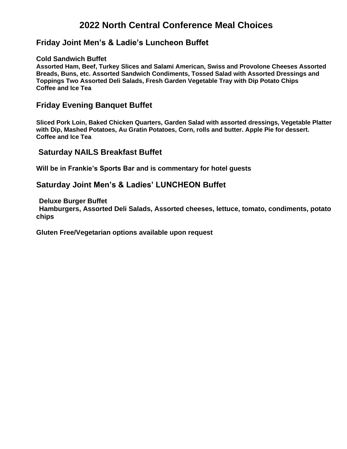### **2022 North Central Conference Meal Choices**

#### **Friday Joint Men's & Ladie's Luncheon Buffet**

#### **Cold Sandwich Buffet**

**Assorted Ham, Beef, Turkey Slices and Salami American, Swiss and Provolone Cheeses Assorted Breads, Buns, etc. Assorted Sandwich Condiments, Tossed Salad with Assorted Dressings and Toppings Two Assorted Deli Salads, Fresh Garden Vegetable Tray with Dip Potato Chips Coffee and Ice Tea**

#### **Friday Evening Banquet Buffet**

**Sliced Pork Loin, Baked Chicken Quarters, Garden Salad with assorted dressings, Vegetable Platter with Dip, Mashed Potatoes, Au Gratin Potatoes, Corn, rolls and butter. Apple Pie for dessert. Coffee and Ice Tea** 

#### **Saturday NAILS Breakfast Buffet**

**Will be in Frankie's Sports Bar and is commentary for hotel guests**

#### **Saturday Joint Men's & Ladies' LUNCHEON Buffet**

**Deluxe Burger Buffet**

**Hamburgers, Assorted Deli Salads, Assorted cheeses, lettuce, tomato, condiments, potato chips**

**Gluten Free/Vegetarian options available upon request**